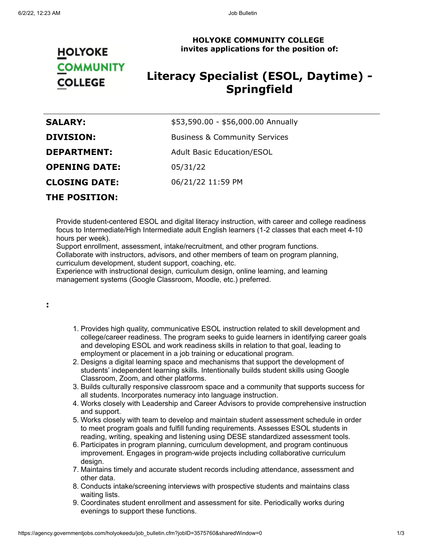### **HOLYOKE COMMUNITY COLLEGE invites applications for the position of:**

# **HOLYOKE COMMUNITY COLLEGE**

## **Literacy Specialist (ESOL, Daytime) - Springfield**

| <b>SALARY:</b>       | \$53,590.00 - \$56,000.00 Annually       |
|----------------------|------------------------------------------|
| <b>DIVISION:</b>     | <b>Business &amp; Community Services</b> |
| <b>DEPARTMENT:</b>   | <b>Adult Basic Education/ESOL</b>        |
| <b>OPENING DATE:</b> | 05/31/22                                 |
| <b>CLOSING DATE:</b> | 06/21/22 11:59 PM                        |
| <b>THE POSITION:</b> |                                          |

Provide student-centered ESOL and digital literacy instruction, with career and college readiness focus to Intermediate/High Intermediate adult English learners (1-2 classes that each meet 4-10 hours per week).

Support enrollment, assessment, intake/recruitment, and other program functions. Collaborate with instructors, advisors, and other members of team on program planning, curriculum development, student support, coaching, etc.

Experience with instructional design, curriculum design, online learning, and learning management systems (Google Classroom, Moodle, etc.) preferred.

#### **:**

- 1. Provides high quality, communicative ESOL instruction related to skill development and college/career readiness. The program seeks to guide learners in identifying career goals and developing ESOL and work readiness skills in relation to that goal, leading to employment or placement in a job training or educational program.
- 2. Designs a digital learning space and mechanisms that support the development of students' independent learning skills. Intentionally builds student skills using Google Classroom, Zoom, and other platforms.
- 3. Builds culturally responsive classroom space and a community that supports success for all students. Incorporates numeracy into language instruction.
- 4. Works closely with Leadership and Career Advisors to provide comprehensive instruction and support.
- 5. Works closely with team to develop and maintain student assessment schedule in order to meet program goals and fulfill funding requirements. Assesses ESOL students in reading, writing, speaking and listening using DESE standardized assessment tools.
- 6. Participates in program planning, curriculum development, and program continuous improvement. Engages in program-wide projects including collaborative curriculum design.
- 7. Maintains timely and accurate student records including attendance, assessment and other data.
- 8. Conducts intake/screening interviews with prospective students and maintains class waiting lists.
- 9. Coordinates student enrollment and assessment for site. Periodically works during evenings to support these functions.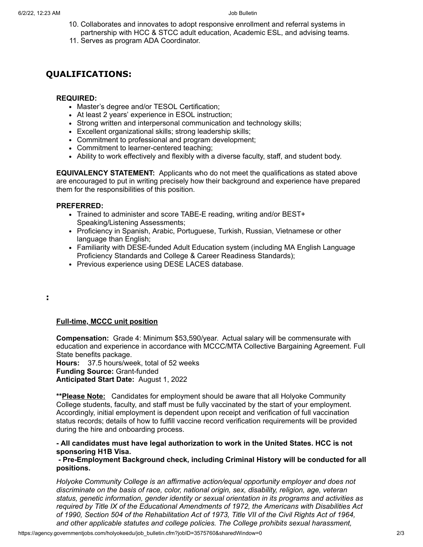- 10. Collaborates and innovates to adopt responsive enrollment and referral systems in partnership with HCC & STCC adult education, Academic ESL, and advising teams.
- 11. Serves as program ADA Coordinator.

## **QUALIFICATIONS:**

#### **REQUIRED:**

- Master's degree and/or TESOL Certification;
- At least 2 years' experience in ESOL instruction;
- Strong written and interpersonal communication and technology skills;
- Excellent organizational skills; strong leadership skills;
- Commitment to professional and program development;
- Commitment to learner-centered teaching;
- Ability to work effectively and flexibly with a diverse faculty, staff, and student body.

**EQUIVALENCY STATEMENT:** Applicants who do not meet the qualifications as stated above are encouraged to put in writing precisely how their background and experience have prepared them for the responsibilities of this position.

#### **PREFERRED:**

- Trained to administer and score TABE-E reading, writing and/or BEST+ Speaking/Listening Assessments;
- Proficiency in Spanish, Arabic, Portuguese, Turkish, Russian, Vietnamese or other language than English;
- Familiarity with DESE-funded Adult Education system (including MA English Language Proficiency Standards and College & Career Readiness Standards);
- Previous experience using DESE LACES database.

**:**

#### **Full-time, MCCC unit position**

**Compensation:** Grade 4: Minimum \$53,590/year. Actual salary will be commensurate with education and experience in accordance with MCCC/MTA Collective Bargaining Agreement. Full State benefits package.

**Hours:** 37.5 hours/week, total of 52 weeks **Funding Source:** Grant-funded **Anticipated Start Date:** August 1, 2022

**\*\*Please Note:** Candidates for employment should be aware that all Holyoke Community College students, faculty, and staff must be fully vaccinated by the start of your employment. Accordingly, initial employment is dependent upon receipt and verification of full vaccination status records; details of how to fulfill vaccine record verification requirements will be provided during the hire and onboarding process.

#### **- All candidates must have legal authorization to work in the United States. HCC is not sponsoring H1B Visa.**

**- Pre-Employment Background check, including Criminal History will be conducted for all positions.**

*Holyoke Community College is an affirmative action/equal opportunity employer and does not discriminate on the basis of race, color, national origin, sex, disability, religion, age, veteran status, genetic information, gender identity or sexual orientation in its programs and activities as required by Title IX of the Educational Amendments of 1972, the Americans with Disabilities Act of 1990, Section 504 of the Rehabilitation Act of 1973, Title VII of the Civil Rights Act of 1964, and other applicable statutes and college policies. The College prohibits sexual harassment,*